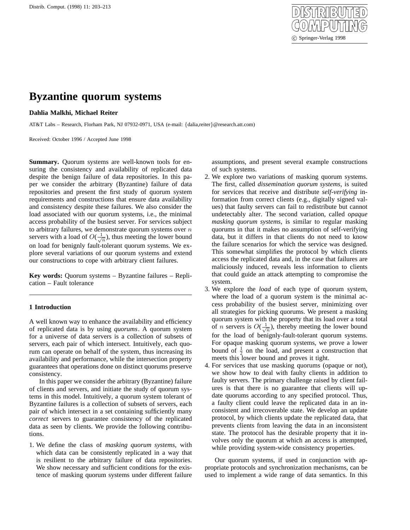

# **Byzantine quorum systems**

# **Dahlia Malkhi, Michael Reiter**

AT&T Labs – Research, Florham Park, NJ 07932-0971, USA (e-mail: {dalia,reiter}@research.att.com)

Received: October 1996 / Accepted June 1998

**Summary.** Quorum systems are well-known tools for ensuring the consistency and availability of replicated data despite the benign failure of data repositories. In this paper we consider the arbitrary (Byzantine) failure of data repositories and present the first study of quorum system requirements and constructions that ensure data availability and consistency despite these failures. We also consider the load associated with our quorum systems, i.e., the minimal access probability of the busiest server. For services subject to arbitrary failures, we demonstrate quorum systems over  $n$ servers with a load of  $O(\frac{1}{\sqrt{n}})$ , thus meeting the lower bound on load for benignly fault-tolerant quorum systems. We explore several variations of our quorum systems and extend our constructions to cope with arbitrary client failures.

**Key words:** Quorum systems – Byzantine failures – Replication – Fault tolerance

# **1 Introduction**

A well known way to enhance the availability and efficiency of replicated data is by using *quorums*. A quorum system for a universe of data servers is a collection of subsets of servers, each pair of which intersect. Intuitively, each quorum can operate on behalf of the system, thus increasing its availability and performance, while the intersection property guarantees that operations done on distinct quorums preserve consistency.

In this paper we consider the arbitrary (Byzantine) failure of clients and servers, and initiate the study of quorum systems in this model. Intuitively, a quorum system tolerant of Byzantine failures is a collection of subsets of servers, each pair of which intersect in a set containing sufficiently many *correct* servers to guarantee consistency of the replicated data as seen by clients. We provide the following contributions.

1. We define the class of *masking quorum systems*, with which data can be consistently replicated in a way that is resilient to the arbitrary failure of data repositories. We show necessary and sufficient conditions for the existence of masking quorum systems under different failure assumptions, and present several example constructions of such systems.

- 2. We explore two variations of masking quorum systems. The first, called *dissemination quorum systems*, is suited for services that receive and distribute *self-verifying* information from correct clients (e.g., digitally signed values) that faulty servers can fail to redistribute but cannot undetectably alter. The second variation, called *opaque masking quorum systems*, is similar to regular masking quorums in that it makes no assumption of self-verifying data, but it differs in that clients do not need to know the failure scenarios for which the service was designed. This somewhat simplifies the protocol by which clients access the replicated data and, in the case that failures are maliciously induced, reveals less information to clients that could guide an attack attempting to compromise the system.
- 3. We explore the *load* of each type of quorum system, where the load of a quorum system is the minimal access probability of the busiest server, minimizing over all strategies for picking quorums. We present a masking quorum system with the property that its load over a total of *n* servers is  $O(\frac{1}{\sqrt{n}})$ , thereby meeting the lower bound for the load of benignly-fault-tolerant quorum systems. For opaque masking quorum systems, we prove a lower bound of  $\frac{1}{2}$  on the load, and present a construction that meets this lower bound and proves it tight.
- 4. For services that use masking quorums (opaque or not), we show how to deal with faulty clients in addition to faulty servers. The primary challenge raised by client failures is that there is no guarantee that clients will update quorums according to any specified protocol. Thus, a faulty client could leave the replicated data in an inconsistent and irrecoverable state. We develop an update protocol, by which clients update the replicated data, that prevents clients from leaving the data in an inconsistent state. The protocol has the desirable property that it involves only the quorum at which an access is attempted, while providing system-wide consistency properties.

Our quorum systems, if used in conjunction with appropriate protocols and synchronization mechanisms, can be used to implement a wide range of data semantics. In this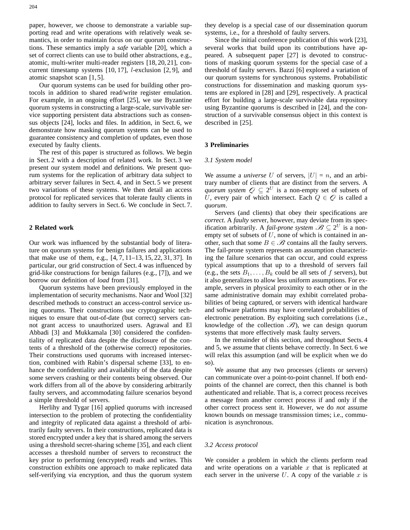paper, however, we choose to demonstrate a variable supporting read and write operations with relatively weak semantics, in order to maintain focus on our quorum constructions. These semantics imply a *safe* variable [20], which a set of correct clients can use to build other abstractions, e.g., atomic, multi-writer multi-reader registers [18, 20, 21], concurrent timestamp systems [10, 17], l-exclusion [2, 9], and atomic snapshot scan [1, 5].

Our quorum systems can be used for building other protocols in addition to shared read/write register emulation. For example, in an ongoing effort [25], we use Byzantine quorum systems in constructing a large-scale, survivable service supporting persistent data abstractions such as consensus objects [24], locks and files. In addition, in Sect. 6, we demonstrate how masking quorum systems can be used to guarantee consistency and completion of updates, even those executed by faulty clients.

The rest of this paper is structured as follows. We begin in Sect. 2 with a description of related work. In Sect. 3 we present our system model and definitions. We present quorum systems for the replication of arbitrary data subject to arbitrary server failures in Sect. 4, and in Sect. 5 we present two variations of these systems. We then detail an access protocol for replicated services that tolerate faulty clients in addition to faulty servers in Sect. 6. We conclude in Sect. 7.

#### **2 Related work**

Our work was influenced by the substantial body of literature on quorum systems for benign failures and applications that make use of them, e.g., [4, 7, 11–13, 15, 22, 31, 37]. In particular, our grid construction of Sect. 4 was influenced by grid-like constructions for benign failures (e.g., [7]), and we borrow our definition of *load* from [31].

Quorum systems have been previously employed in the implementation of security mechanisms. Naor and Wool [32] described methods to construct an access-control service using quorums. Their constructions use cryptographic techniques to ensure that out-of-date (but correct) servers cannot grant access to unauthorized users. Agrawal and El Abbadi [3] and Mukkamala [30] considered the confidentiality of replicated data despite the disclosure of the contents of a threshold of the (otherwise correct) repositories. Their constructions used quorums with increased intersection, combined with Rabin's dispersal scheme [33], to enhance the confidentiality and availability of the data despite some servers crashing or their contents being observed. Our work differs from all of the above by considering arbitrarily faulty servers, and accommodating failure scenarios beyond a simple threshold of servers.

Herlihy and Tygar [16] applied quorums with increased intersection to the problem of protecting the confidentiality and integrity of replicated data against a threshold of arbitrarily faulty servers. In their constructions, replicated data is stored encrypted under a key that is shared among the servers using a threshold secret-sharing scheme [35], and each client accesses a threshold number of servers to reconstruct the key prior to performing (encrypted) reads and writes. This construction exhibits one approach to make replicated data self-verifying via encryption, and thus the quorum system

they develop is a special case of our dissemination quorum systems, i.e., for a threshold of faulty servers.

Since the initial conference publication of this work [23], several works that build upon its contributions have appeared. A subsequent paper [27] is devoted to constructions of masking quorum systems for the special case of a threshold of faulty servers. Bazzi [6] explored a variation of our quorum systems for synchronous systems. Probabilistic constructions for dissemination and masking quorum systems are explored in [28] and [29], respectively. A practical effort for building a large-scale survivable data repository using Byzantine quorums is described in [24], and the construction of a survivable consensus object in this context is described in [25].

# **3 Preliminaries**

#### *3.1 System model*

We assume a *universe* U of servers,  $|U| = n$ , and an arbitrary number of clients that are distinct from the servers. A *quorum system*  $Q \subseteq 2^U$  is a non-empty set of subsets of U, every pair of which intersect. Each  $Q \in \mathcal{Q}$  is called a *quorum*.

Servers (and clients) that obey their specifications are *correct*. A *faulty* server, however, may deviate from its specification arbitrarily. A *fail-prone system*  $\mathscr{B} \subseteq 2^U$  is a nonempty set of subsets of  $U$ , none of which is contained in another, such that some  $B \in \mathcal{B}$  contains all the faulty servers. The fail-prone system represents an assumption characterizing the failure scenarios that can occur, and could express typical assumptions that up to a threshold of servers fail (e.g., the sets  $B_1, \ldots, B_k$  could be all sets of f servers), but it also generalizes to allow less uniform assumptions. For example, servers in physical proximity to each other or in the same administrative domain may exhibit correlated probabilities of being captured, or servers with identical hardware and software platforms may have correlated probabilities of electronic penetration. By exploiting such correlations (i.e., knowledge of the collection  $\mathscr{B}$ ), we can design quorum systems that more effectively mask faulty servers.

In the remainder of this section, and throughout Sects. 4 and 5, we assume that clients behave correctly. In Sect. 6 we will relax this assumption (and will be explicit when we do so).

We assume that any two processes (clients or servers) can communicate over a point-to-point channel. If both endpoints of the channel are correct, then this channel is both authenticated and reliable. That is, a correct process receives a message from another correct process if and only if the other correct process sent it. However, we do *not* assume known bounds on message transmission times; i.e., communication is asynchronous.

#### *3.2 Access protocol*

We consider a problem in which the clients perform read and write operations on a variable  $x$  that is replicated at each server in the universe  $U$ . A copy of the variable  $x$  is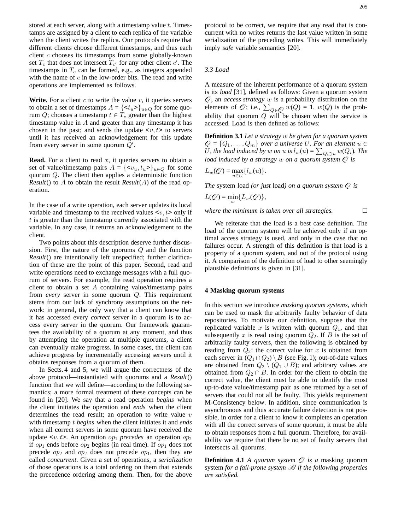stored at each server, along with a timestamp value  $t$ . Timestamps are assigned by a client to each replica of the variable when the client writes the replica. Our protocols require that different clients choose different timestamps, and thus each client  $c$  chooses its timestamps from some globally-known set  $T_c$  that does not intersect  $T_{c'}$  for any other client  $c'$ . The timestamps in  $T_c$  can be formed, e.g., as integers appended with the name of  $c$  in the low-order bits. The read and write operations are implemented as follows.

**Write.** For a client  $c$  to write the value  $v$ , it queries servers to obtain a set of timestamps  $A = \{ \langle t_u \rangle \}_{u \in Q}$  for some quorum Q; chooses a timestamp  $t \in T_c$  greater than the highest timestamp value in  $A$  and greater than any timestamp it has chosen in the past; and sends the update  $\langle v, t \rangle$  to servers until it has received an acknowledgement for this update from every server in some quorum  $Q'$ .

**Read.** For a client to read  $x$ , it queries servers to obtain a set of value/timestamp pairs  $A = \{\langle v_u, t_u \rangle\}_{u \in Q}$  for some quorum Q. The client then applies a deterministic function *Result*() to A to obtain the result *Result*(A) of the read operation.

In the case of a write operation, each server updates its local variable and timestamp to the received values  $\langle v, t \rangle$  only if  $t$  is greater than the timestamp currently associated with the variable. In any case, it returns an acknowledgement to the client.

Two points about this description deserve further discussion. First, the nature of the quorums  $Q$  and the function *Result*() are intentionally left unspecified; further clarification of these are the point of this paper. Second, read and write operations need to exchange messages with a full quorum of servers. For example, the read operation requires a client to obtain a set  $A$  containing value/timestamp pairs from *every* server in some quorum Q. This requirement stems from our lack of synchrony assumptions on the network: in general, the only way that a client can know that it has accessed every *correct* server in a quorum is to access every server in the quorum. Our framework guarantees the availability of a quorum at any moment, and thus by attempting the operation at multiple quorums, a client can eventually make progress. In some cases, the client can achieve progress by incrementally accessing servers until it obtains responses from a quorum of them.

In Sects. 4 and 5, we will argue the correctness of the above protocol—instantiated with quorums and a *Result*() function that we will define—according to the following semantics; a more formal treatment of these concepts can be found in [20]. We say that a read operation *begins* when the client initiates the operation and *ends* when the client determines the read result; an operation to write value  $v$ with timestamp t *begins* when the client initiates it and *ends* when all correct servers in some quorum have received the update  $\langle v, t \rangle$ . An operation *op*<sub>1</sub> *precedes* an operation *op*<sub>2</sub> if  $op_1$  ends before  $op_2$  begins (in real time). If  $op_1$  does not precede  $op_2$  and  $op_2$  does not precede  $op_1$ , then they are called *concurrent*. Given a set of operations, a *serialization* of those operations is a total ordering on them that extends the precedence ordering among them. Then, for the above protocol to be correct, we require that any read that is concurrent with no writes returns the last value written in some serialization of the preceding writes. This will immediately imply *safe* variable semantics [20].

#### *3.3 Load*

A measure of the inherent performance of a quorum system is its *load* [31], defined as follows: Given a quorum system *Q* , an *access strategy* w is a probability distribution on the elements of *Q*; i.e.,  $\sum_{Q \in \mathcal{Q}} w(Q) = 1$ .  $w(Q)$  is the probability that quorum  $Q$  will be chosen when the service is accessed. Load is then defined as follows:

**Definition 3.1** *Let a strategy* w *be given for a quorum system*  $Q = \{Q_1, \ldots, Q_m\}$  *over a universe U. For an element*  $u \in$ U, the load induced by w on *u* is  $l_w(u) = \sum_{Q_i \ni u} w(Q_i)$ . The *load induced by a strategy* w *on a quorum system Q is*

$$
L_w(\mathcal{Q}) = \max_{u \in U} \{l_w(u)\}.
$$

*The* system load *(or just* load*) on a quorum system Q is*

$$
L(\mathscr{Q}) = \min_{w} \{L_w(\mathscr{Q})\},\
$$

*where the minimum is taken over all strategies.*

We reiterate that the load is a best case definition. The load of the quorum system will be achieved only if an optimal access strategy is used, and only in the case that no failures occur. A strength of this definition is that load is a property of a quorum system, and not of the protocol using it. A comparison of the definition of load to other seemingly plausible definitions is given in [31].

#### **4 Masking quorum systems**

In this section we introduce *masking quorum systems*, which can be used to mask the arbitrarily faulty behavior of data repositories. To motivate our definition, suppose that the replicated variable x is written with quorum  $Q_1$ , and that subsequently x is read using quorum  $Q_2$ . If B is the set of arbitrarily faulty servers, then the following is obtained by reading from  $Q_2$ : the correct value for x is obtained from each server in  $(Q_1 \cap Q_2) \setminus B$  (see Fig. 1); out-of-date values are obtained from  $Q_2 \setminus (Q_1 \cup B)$ ; and arbitrary values are obtained from  $Q_2 \cap B$ . In order for the client to obtain the correct value, the client must be able to identify the most up-to-date value/timestamp pair as one returned by a set of servers that could not all be faulty. This yields requirement M-Consistency below. In addition, since communication is asynchronous and thus accurate failure detection is not possible, in order for a client to know it completes an operation with all the correct servers of some quorum, it must be able to obtain responses from a full quorum. Therefore, for availability we require that there be no set of faulty servers that intersects all quorums.

**Definition 4.1** *A quorum system Q is a* masking quorum system *for a fail-prone system B if the following properties are satisfied.*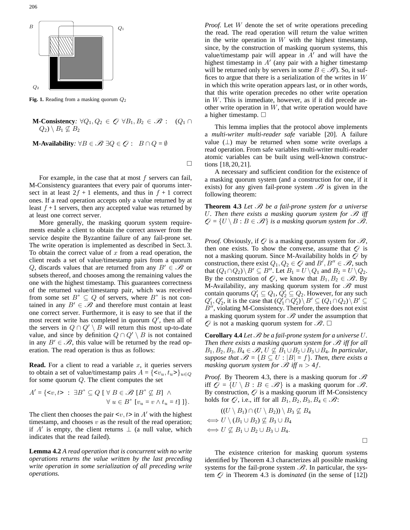



**Fig. 1.** Reading from a masking quorum  $Q_2$ 

**M-Consistency:** 
$$
\forall Q_1, Q_2 \in \mathcal{Q} \ \forall B_1, B_2 \in \mathcal{B}
$$
:  $(Q_1 \cap Q_2) \setminus B_1 \nsubseteq B_2$ 

**M-Availability**:  $\forall B \in \mathcal{B} \exists Q \in \mathcal{Q} : B \cap Q = \emptyset$ 

For example, in the case that at most  $f$  servers can fail, M-Consistency guarantees that every pair of quorums intersect in at least  $2f + 1$  elements, and thus in  $f + 1$  correct ones. If a read operation accepts only a value returned by at least  $f + 1$  servers, then any accepted value was returned by at least one correct server.

More generally, the masking quorum system requirements enable a client to obtain the correct answer from the service despite the Byzantine failure of any fail-prone set. The write operation is implemented as described in Sect. 3. To obtain the correct value of  $x$  from a read operation, the client reads a set of value/timestamp pairs from a quorum Q, discards values that are returned from any  $B' \in \mathcal{B}$  or subsets thereof, and chooses among the remaining values the one with the highest timestamp. This guarantees correctness of the returned value/timestamp pair, which was received from some set  $B^+ \subseteq Q$  of servers, where  $B^+$  is not contained in any  $B' \in \mathcal{B}$  and therefore must contain at least one correct server. Furthermore, it is easy to see that if the most recent write has completed in quorum  $Q'$ , then all of the servers in  $Q \cap Q' \setminus B$  will return this most up-to-date value, and since by definition  $Q \cap Q' \setminus B$  is not contained in any  $B' \in \mathcal{B}$ , this value will be returned by the read operation. The read operation is thus as follows:

**Read.** For a client to read a variable  $x$ , it queries servers to obtain a set of value/timestamp pairs  $A = \{ \langle v_u, t_u \rangle \}_{u \in Q}$ for some quorum Q. The client computes the set

$$
A' = \{ \langle v, t \rangle : \exists B^+ \subseteq Q \mid \forall B \in \mathcal{B} \mid B^+ \nsubseteq B \} \wedge \forall u \in B^+ \ [v_u = v \wedge t_u = t] \ ] \}.
$$

The client then chooses the pair  $\langle v, t \rangle$  in A' with the highest timestamp, and chooses  $v$  as the result of the read operation; if  $A'$  is empty, the client returns  $\perp$  (a null value, which indicates that the read failed).

**Lemma 4.2** *A read operation that is concurrent with no write operations returns the value written by the last preceding write operation in some serialization of all preceding write operations.*

*Proof.* Let W denote the set of write operations preceding the read. The read operation will return the value written in the write operation in  $W$  with the highest timestamp, since, by the construction of masking quorum systems, this value/timestamp pair will appear in  $A'$  and will have the highest timestamp in  $A'$  (any pair with a higher timestamp will be returned only by servers in some  $B \in \mathcal{B}$ ). So, it suffices to argue that there is a serialization of the writes in  $W$ in which this write operation appears last, or in other words, that this write operation precedes no other write operation in  $W$ . This is immediate, however, as if it did precede another write operation in  $W$ , that write operation would have a higher timestamp.  $\square$ 

This lemma implies that the protocol above implements a *multi-writer multi-reader safe* variable [20]. A failure value  $( \perp)$  may be returned when some write overlaps a read operation. From safe variables multi-writer multi-reader atomic variables can be built using well-known constructions [18, 20, 21].

A necessary and sufficient condition for the existence of a masking quorum system (and a construction for one, if it exists) for any given fail-prone system  $\mathscr B$  is given in the following theorem:

**Theorem 4.3** *Let B be a fail-prone system for a universe* U*. Then there exists a masking quorum system for B iff*  $Q = \{U \setminus B : B \in \mathcal{B}\}\$ is a masking quorum system for  $\mathcal{B}$ .

*Proof.* Obviously, if *Q* is a masking quorum system for *B*, then one exists. To show the converse, assume that  $\mathcal Q$  is not a masking quorum. Since M-Availability holds in *Q* by construction, there exist  $Q_1, Q_2 \in \mathcal{Q}$  and  $B', B'' \in \mathcal{B}$ , such that  $(Q_1 \cap Q_2) \backslash B' \subseteq B''$ . Let  $B_1 = U \backslash Q_1$  and  $B_2 = U \backslash Q_2$ . By the construction of  $\mathcal{Q}$ , we know that  $B_1, B_2 \in \mathcal{B}$ . By M-Availability, any masking quorum system for *B* must contain quorums  $Q'_1 \subseteq Q_1$ ,  $Q'_2 \subseteq Q_2$ . However, for any such  $Q'_1, Q'_2$ , it is the case that  $(Q'_1 \cap Q'_2) \setminus B' \subseteq (Q_1 \cap Q_2) \setminus B' \subseteq$  $B''$ , violating M-Consistency. Therefore, there does not exist a masking quorum system for *B* under the assumption that  $Q$  is not a masking quorum system for  $\mathscr{B}$ .  $\square$ 

**Corollary 4.4** *Let B be a fail-prone system for a universe* U*. Then there exists a masking quorum system for B iff for all*  $B_1, B_2, B_3, B_4 \in \mathcal{B}, U \nsubseteq B_1 \cup B_2 \cup B_3 \cup B_4$ *. In particular, suppose that*  $\mathcal{B} = \{B \subseteq U : |B| = f\}$ *. Then, there exists a masking quorum system for*  $\mathcal{B}$  *iff*  $n > 4$  *f*.

*Proof.* By Theorem 4.3, there is a masking quorum for *B* iff  $Q = \{U \setminus B : B \in \mathcal{B}\}\$ is a masking quorum for  $\mathcal{B}$ . By construction, *Q* is a masking quorum iff M-Consistency holds for  $Q$ , i.e., iff for all  $B_1, B_2, B_3, B_4 \in \mathcal{B}$ :

$$
((U \setminus B_1) \cap (U \setminus B_2)) \setminus B_3 \nsubseteq B_4
$$
  
\n
$$
\iff U \setminus (B_1 \cup B_2) \nsubseteq B_3 \cup B_4
$$
  
\n
$$
\iff U \nsubseteq B_1 \cup B_2 \cup B_3 \cup B_4.
$$

The existence criterion for masking quorum systems identified by Theorem 4.3 characterizes all possible masking systems for the fail-prone system *B*. In particular, the system *Q* in Theorem 4.3 is *dominated* (in the sense of [12])

 $\Box$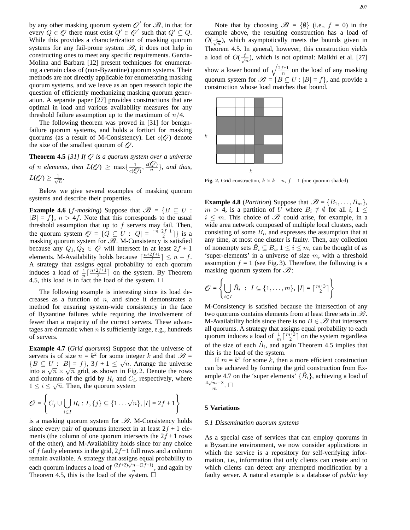by any other masking quorum system  $Q'$  for  $\mathcal{B}$ , in that for every  $Q \in \mathcal{Q}$  there must exist  $Q' \in \mathcal{Q}'$  such that  $Q' \subseteq Q$ . While this provides a characterization of masking quorum systems for any fail-prone system  $\mathcal{B}$ , it does not help in constructing ones to meet any specific requirements. Garcia-Molina and Barbara [12] present techniques for enumerating a certain class of (non-Byzantine) quorum systems. Their methods are not directly applicable for enumerating masking quorum systems, and we leave as an open research topic the question of efficiently mechanizing masking quorum generation. A separate paper [27] provides constructions that are optimal in load and various availability measures for any threshold failure assumption up to the maximum of  $n/4$ .

The following theorem was proved in [31] for benignfailure quorum systems, and holds a fortiori for masking quorums (as a result of M-Consistency). Let  $c(Q)$  denote the size of the smallest quorum of *Q* .

**Theorem 4.5** *[31] If Q is a quorum system over a universe of n elements, then*  $L(Q) \ge \max\{\frac{1}{c(Q)}, \frac{c(Q)}{n}\}$ , and thus,  $L(\mathcal{Q}) \geq \frac{1}{\sqrt{n}}.$ 

Below we give several examples of masking quorum systems and describe their properties.

**Example 4.6** (*f-masking*) Suppose that  $\mathcal{B} = \{B \subseteq U :$  $|B| = f$ ,  $n > 4f$ . Note that this corresponds to the usual threshold assumption that up to  $f$  servers may fail. Then, the quorum system  $Q = \{Q \subseteq U : |Q| = \lceil \frac{n+2f+1}{2} \rceil \}$  is a masking quorum system for *B*. M-Consistency is satisfied because any  $Q_1, Q_2 \in \mathcal{Q}$  will intersect in at least  $2f + 1$ elements. M-Availability holds because  $\lceil \frac{n+2f+1}{2} \rceil \leq n-f$ . A strategy that assigns equal probability to each quorum induces a load of  $\frac{1}{n} \left[ \frac{n+2f+1}{2} \right]$  on the system. By Theorem 4.5, this load is in fact the load of the system.  $\Box$ 

The following example is interesting since its load decreases as a function of  $n$ , and since it demonstrates a method for ensuring system-wide consistency in the face of Byzantine failures while requiring the involvement of fewer than a majority of the correct servers. These advantages are dramatic when  $n$  is sufficiently large, e.g., hundreds of servers.

**Example 4.7** (*Grid quorums*) Suppose that the universe of servers is of size  $n = k^2$  for some integer k and that  $\mathcal{B} =$  ${B \subseteq U : |B| = f}, 3f + 1 \leq \sqrt{n}$ . Arrange the universe into a  $\sqrt{n} \times \sqrt{n}$  grid, as shown in Fig. 2. Denote the rows and columns of the grid by  $R_i$  and  $C_i$ , respectively, where  $1 \leq i \leq \sqrt{n}$ . Then, the quorum system

$$
\mathcal{Q} = \left\{ C_j \cup \bigcup_{i \in I} R_i : I, \{j\} \subseteq \{1 \dots \sqrt{n}\}, |I| = 2f + 1 \right\}
$$

is a masking quorum system for *B*. M-Consistency holds since every pair of quorums intersect in at least  $2f + 1$  elements (the column of one quorum intersects the  $2f + 1$  rows of the other), and M-Availability holds since for any choice of f faulty elements in the grid,  $2f+1$  full rows and a column remain available. A strategy that assigns equal probability to each quorum induces a load of  $\frac{(2f+2)\sqrt{n}-(2f+1)}{n}$ , and again by Theorem 4.5, this is the load of the system.  $\Box$ 

Note that by choosing  $\mathscr{B} = \{\emptyset\}$  (i.e.,  $f = 0$ ) in the example above, the resulting construction has a load of  $O(\frac{1}{\sqrt{n}})$ , which asymptotically meets the bounds given in Theorem 4.5. In general, however, this construction yields a load of  $O(\frac{f}{\sqrt{n}})$ , which is not optimal: Malkhi et al. [27] show a lower bound of  $\sqrt{\frac{2f+1}{n}}$  on the load of any masking quorum system for  $\mathcal{B} = \{B \subseteq U : |B| = f\}$ , and provide a construction whose load matches that bound.



**Fig. 2.** Grid construction,  $k \times k = n$ ,  $f = 1$  (one quorum shaded)

**Example 4.8** (*Partition*) Suppose that  $\mathcal{B} = \{B_1, \ldots, B_m\}$ ,  $m > 4$ , is a partition of U where  $B_i \neq \emptyset$  for all i,  $1 \leq$  $i \leq m$ . This choice of  $\mathscr B$  could arise, for example, in a wide area network composed of multiple local clusters, each consisting of some  $B_i$ , and expresses the assumption that at any time, at most one cluster is faulty. Then, any collection of nonempty sets  $\hat{B}_i \subseteq B_i$ ,  $1 \leq i \leq m$ , can be thought of as 'super-elements' in a universe of size m, with a threshold assumption  $f = 1$  (see Fig. 3). Therefore, the following is a masking quorum system for *B*:

$$
\mathcal{Q} = \left\{ \bigcup_{i \in I} \hat{B}_i : I \subseteq \{1, \dots, m\}, |I| = \lceil \frac{m+3}{2} \rceil \right\}
$$

M-Consistency is satisfied because the intersection of any two quorums contains elements from at least three sets in *B*. M-Availability holds since there is no  $B \in \mathscr{B}$  that intersects all quorums. A strategy that assigns equal probability to each quorum induces a load of  $\frac{1}{m} \left\lceil \frac{m+3}{2} \right\rceil$  on the system regardless of the size of each  $\hat{B}_i$ , and again Theorem 4.5 implies that this is the load of the system.

If  $m = k^2$  for some k, then a more efficient construction can be achieved by forming the grid construction from Example 4.7 on the 'super elements'  $\{\hat{B}_i\}$ , achieving a load of  $\frac{4\sqrt{m}-3}{m}$ . □

### **5 Variations**

#### *5.1 Dissemination quorum systems*

As a special case of services that can employ quorums in a Byzantine environment, we now consider applications in which the service is a repository for self-verifying information, i.e., information that only clients can create and to which clients can detect any attempted modification by a faulty server. A natural example is a database of *public key*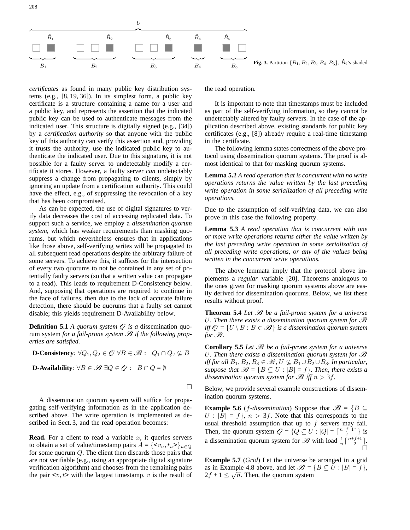

*certificates* as found in many public key distribution systems (e.g., [8, 19, 36]). In its simplest form, a public key certificate is a structure containing a name for a user and a public key, and represents the assertion that the indicated public key can be used to authenticate messages from the indicated user. This structure is digitally signed (e.g., [34]) by a *certification authority* so that anyone with the public key of this authority can verify this assertion and, providing it trusts the authority, use the indicated public key to authenticate the indicated user. Due to this signature, it is not possible for a faulty server to undetectably modify a certificate it stores. However, a faulty server *can* undetectably suppress a change from propagating to clients, simply by ignoring an update from a certification authority. This could have the effect, e.g., of suppressing the revocation of a key that has been compromised.

As can be expected, the use of digital signatures to verify data decreases the cost of accessing replicated data. To support such a service, we employ a *dissemination quorum system*, which has weaker requirements than masking quorums, but which nevertheless ensures that in applications like those above, self-verifying writes will be propagated to all subsequent read operations despite the arbitrary failure of some servers. To achieve this, it suffices for the intersection of every two quorums to not be contained in any set of potentially faulty servers (so that a written value can propagate to a read). This leads to requirement D-Consistency below. And, supposing that operations are required to continue in the face of failures, then due to the lack of accurate failure detection, there should be quorums that a faulty set cannot disable; this yields requirement D-Availability below.

**Definition 5.1** *A quorum system Q is a* dissemination quorum system *for a fail-prone system B if the following properties are satisfied.*

**D-Consistency***:* ∀ $Q_1, Q_2 \in \mathcal{Q}$  ∀ $B \in \mathcal{B}$  :  $Q_1 \cap Q_2 \nsubseteq B$ 

**D-Availability***:*  $\forall B \in \mathcal{B} \exists Q \in \mathcal{Q}$  :  $B \cap Q = \emptyset$ 

 $\Box$ 

A dissemination quorum system will suffice for propagating self-verifying information as in the application described above. The write operation is implemented as described in Sect. 3, and the read operation becomes:

**Read.** For a client to read a variable  $x$ , it queries servers to obtain a set of value/timestamp pairs  $A = \{ \langle v_u, t_u \rangle \}_{u \in Q}$ for some quorum Q. The client then discards those pairs that are not verifiable (e.g., using an appropriate digital signature verification algorithm) and chooses from the remaining pairs the pair  $\langle v, t \rangle$  with the largest timestamp. v is the result of the read operation.

It is important to note that timestamps must be included as part of the self-verifying information, so they cannot be undetectably altered by faulty servers. In the case of the application described above, existing standards for public key certificates (e.g., [8]) already require a real-time timestamp in the certificate.

The following lemma states correctness of the above protocol using dissemination quorum systems. The proof is almost identical to that for masking quorum systems.

**Lemma 5.2** *A read operation that is concurrent with no write operations returns the value written by the last preceding write operation in some serialization of all preceding write operations.*

Due to the assumption of self-verifying data, we can also prove in this case the following property.

**Lemma 5.3** *A read operation that is concurrent with one or more write operations returns either the value written by the last preceding write operation in some serialization of all preceding write operations, or any of the values being written in the concurrent write operations.*

The above lemmata imply that the protocol above implements a *regular* variable [20]. Theorems analogous to the ones given for masking quorum systems above are easily derived for dissemination quorums. Below, we list these results without proof.

**Theorem 5.4** *Let B be a fail-prone system for a universe* U*. Then there exists a dissemination quorum system for B iff*  $Q = \{U \setminus B : B \in \mathcal{B}\}\$  *is a dissemination quorum system for B.*

**Corollary 5.5** *Let B be a fail-prone system for a universe* U*. Then there exists a dissemination quorum system for B iff for all*  $B_1, B_2, B_3 \in \mathcal{B}$ ,  $U \nsubseteq B_1 \cup B_2 \cup B_3$ *. In particular, suppose that*  $\mathcal{B} = \{B \subseteq U : |B| = f\}$ *. Then, there exists a dissemination quorum system for*  $\mathcal{B}$  *iff*  $n > 3f$ *.* 

Below, we provide several example constructions of dissemination quorum systems.

**Example 5.6** (*f-dissemination*) Suppose that  $\mathcal{B} = \{B \subseteq$  $U : |B| = f$ ,  $n > 3f$ . Note that this corresponds to the usual threshold assumption that up to  $f$  servers may fail. Then, the quorum system  $Q = \{Q \subseteq U : |Q| = \lceil \frac{n+f+1}{2} \rceil \}$  is a dissemination quorum system for  $\mathscr{B}$  with load  $\frac{1}{n} \lceil \frac{n+f+1}{2} \rceil$ .  $\Box$ 

**Example 5.7** (*Grid*) Let the universe be arranged in a grid as in Example 4.8 above, and let  $\mathcal{B} = \{B \subseteq U : |B| = f\},\$  $2f + 1 \leq \sqrt{n}$ . Then, the quorum system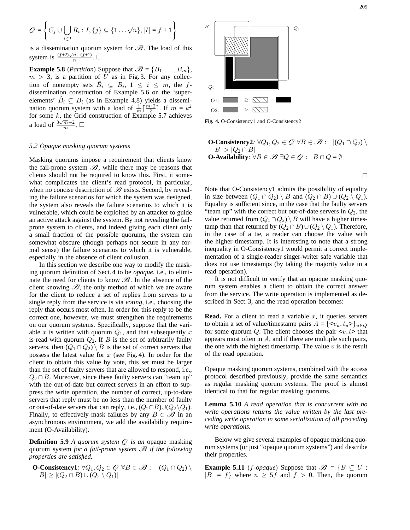$$
\mathcal{Q} = \left\{ C_j \cup \bigcup_{i \in I} R_i : I, \{j\} \subseteq \{1 \dots \sqrt{n}\}, |I| = f + 1 \right\}
$$

is a dissemination quorum system for *B*. The load of this system is  $\frac{(f+2)\sqrt{n}-(f+1)}{n}$ .  $\Box$ 

**Example 5.8** (*Partition*) Suppose that  $\mathcal{B} = \{B_1, \ldots, B_m\}$ ,  $m > 3$ , is a partition of U as in Fig. 3. For any collection of nonempty sets  $\hat{B}_i \subseteq B_i$ ,  $1 \leq i \leq m$ , the fdissemination construction of Example 5.6 on the 'superelements'  $B_i \subseteq B_i$  (as in Example 4.8) yields a dissemination quorum system with a load of  $\frac{1}{m} \left[ \frac{m+2}{2} \right]$ . If  $m = k^2$ for some  $k$ , the Grid construction of Example 5.7 achieves a load of  $\frac{3\sqrt{m}-2}{m}$ .  $\Box$ 

#### *5.2 Opaque masking quorum systems*

Masking quorums impose a requirement that clients know the fail-prone system  $\mathscr{B}$ , while there may be reasons that clients should not be required to know this. First, it somewhat complicates the client's read protocol, in particular, when no concise description of  $\mathscr B$  exists. Second, by revealing the failure scenarios for which the system was designed, the system also reveals the failure scenarios to which it is vulnerable, which could be exploited by an attacker to guide an active attack against the system. By not revealing the failprone system to clients, and indeed giving each client only a small fraction of the possible quorums, the system can somewhat obscure (though perhaps not secure in any formal sense) the failure scenarios to which it is vulnerable, especially in the absence of client collusion.

In this section we describe one way to modify the masking quorum definition of Sect. 4 to be *opaque*, i.e., to eliminate the need for clients to know *B*. In the absence of the client knowing  $\mathscr{B}$ , the only method of which we are aware for the client to reduce a set of replies from servers to a single reply from the service is via *voting*, i.e., choosing the reply that occurs most often. In order for this reply to be the correct one, however, we must strengthen the requirements on our quorum systems. Specifically, suppose that the variable x is written with quorum  $Q_1$ , and that subsequently x is read with quorum  $Q_2$ . If B is the set of arbitrarily faulty servers, then  $(Q_1 \cap Q_2) \setminus B$  is the set of correct servers that possess the latest value for  $x$  (see Fig. 4). In order for the client to obtain this value by vote, this set must be larger than the set of faulty servers that are allowed to respond, i.e.,  $Q_2 \cap B$ . Moreover, since these faulty servers can "team up" with the out-of-date but correct servers in an effort to suppress the write operation, the number of correct, up-to-date servers that reply must be no less than the number of faulty or out-of-date servers that can reply, i.e.,  $(Q_2 \cap B) \cup (Q_2 \setminus Q_1)$ . Finally, to effectively mask failures by any  $B \in \mathcal{B}$  in an asynchronous environment, we add the availability requirement (O-Availability).

**Definition 5.9** *A quorum system Q is an* opaque masking quorum system *for a fail-prone system B if the following properties are satisfied.*

**O-Consistency1***:*  $\forall Q_1, Q_2 \in \mathcal{Q} \ \forall B \in \mathcal{B}$  :  $|(Q_1 \cap Q_2) \setminus$  $B|\geq |(Q_2\cap B)\cup (Q_2\setminus Q_1)|$ 



**Fig. 4.** O-Consistency1 and O-Consistency2

**O-Consistency2***:*  $\forall Q_1, Q_2 \in \mathcal{Q} \ \forall B \in \mathcal{B}$  :  $|(Q_1 \cap Q_2) \setminus$  $|B|>|Q_2 \cap B|$ **O-Availability**:  $\forall B \in \mathcal{B} \exists Q \in \mathcal{Q} : B \cap Q = \emptyset$ 

 $\Box$ 

Note that O-Consistency1 admits the possibility of equality in size between  $(Q_1 \cap Q_2) \setminus B$  and  $(Q_2 \cap B) \cup (Q_2 \setminus Q_1)$ . Equality is sufficient since, in the case that the faulty servers "team up" with the correct but out-of-date servers in  $Q_2$ , the value returned from  $(Q_1 \cap Q_2) \setminus B$  will have a higher timestamp than that returned by  $(Q_2 \cap B) \cup (Q_2 \setminus Q_1)$ . Therefore, in the case of a tie, a reader can choose the value with the higher timestamp. It is interesting to note that a strong inequality in O-Consistency1 would permit a correct implementation of a single-reader singer-writer safe variable that does not use timestamps (by taking the majority value in a read operation).

It is not difficult to verify that an opaque masking quorum system enables a client to obtain the correct answer from the service. The write operation is implemented as described in Sect. 3, and the read operation becomes:

**Read.** For a client to read a variable  $x$ , it queries servers to obtain a set of value/timestamp pairs  $A = \{ \langle v_u, t_u \rangle \}_{u \in Q}$ for some quorum Q. The client chooses the pair  $\langle v, t \rangle$  that appears most often in A, and if there are multiple such pairs, the one with the highest timestamp. The value  $v$  is the result of the read operation.

Opaque masking quorum systems, combined with the access protocol described previously, provide the same semantics as regular masking quorum systems. The proof is almost identical to that for regular masking quorums.

**Lemma 5.10** *A read operation that is concurrent with no write operations returns the value written by the last preceding write operation in some serialization of all preceding write operations.*

Below we give several examples of opaque masking quorum systems (or just "opaque quorum systems") and describe their properties.

**Example 5.11** (*f-opaque*) Suppose that  $\mathcal{B} = \{B \subseteq U :$  $|B| = f$  where  $n \geq 5f$  and  $f > 0$ . Then, the quorum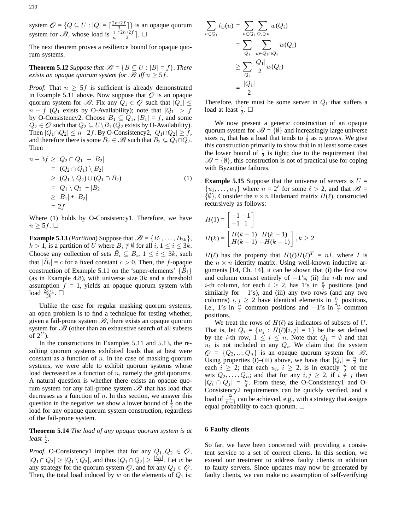system  $Q = \{Q \subseteq U : |Q| = \lceil \frac{2n+2f}{3} \rceil \}$  is an opaque quorum system for  $\mathscr{B}$ , whose load is  $\frac{1}{n} \left[ \frac{2n+2f}{3} \right]$ .  $\Box$ 

The next theorem proves a resilience bound for opaque quorum systems.

**Theorem 5.12** *Suppose that*  $\mathcal{B} = \{B \subseteq U : |B| = f\}$ *. There exists an opaque quorum system for*  $\mathcal{B}$  *iff*  $n \geq 5f$ .

*Proof.* That  $n \geq 5f$  is sufficient is already demonstrated in Example 5.11 above. Now suppose that *Q* is an opaque quorum system for *B*. Fix any  $Q_1 \in \mathcal{Q}$  such that  $|Q_1| \leq$  $n - f$  ( $Q_1$  exists by O-Availability); note that  $|Q_1| > f$ by O-Consistency2. Choose  $B_1 \subseteq Q_1$ ,  $|B_1| = f$ , and some  $Q_2 \in \mathcal{Q}$  such that  $Q_2 \subseteq U \backslash B_1$  ( $Q_2$  exists by O-Availability). Then  $|Q_1 \cap Q_2| \le n - 2f$ . By O-Consistency2,  $|Q_1 \cap Q_2| \ge f$ , and therefore there is some  $B_2 \in \mathcal{B}$  such that  $B_2 \subseteq Q_1 \cap Q_2$ . Then

$$
n-3f \ge |Q_2 \cap Q_1| - |B_2|
$$
  
= |(Q\_2 \cap Q\_1) \setminus B\_2|  

$$
\ge |(Q_1 \setminus Q_2) \cup (Q_1 \cap B_2)|
$$
  
= |Q\_1 \setminus Q\_2| + |B\_2|  

$$
\ge |B_1| + |B_2|
$$
  
= 2f

Where (1) holds by O-Consistency1. Therefore, we have  $n \geq 5f.$ 

**Example 5.13** (*Partition*) Suppose that  $\mathcal{B} = \{B_1, \ldots, B_{3k}\},\$  $k > 1$ , is a partition of U where  $B_i \neq \emptyset$  for all  $i, 1 \leq i \leq 3k$ . Choose any collection of sets  $\hat{B}_i \subseteq B_i$ ,  $1 \leq i \leq 3k$ , such that  $|\hat{B}_i| = c$  for a fixed constant  $c > 0$ . Then, the f-opaque construction of Example 5.11 on the 'super-elements'  $\{\hat{B}_i\}$ (as in Example 4.8), with universe size  $3k$  and a threshold assumption  $f = 1$ , yields an opaque quorum system with load  $\frac{2k+1}{3k}$ .  $\Box$ 

Unlike the case for regular masking quorum systems, an open problem is to find a technique for testing whether, given a fail-prone system  $\mathscr{B}$ , there exists an opaque quorum system for *B* (other than an exhaustive search of all subsets of  $2^U$ ).

In the constructions in Examples 5.11 and 5.13, the resulting quorum systems exhibited loads that at best were constant as a function of  $n$ . In the case of masking quorum systems, we were able to exhibit quorum systems whose load decreased as a function of  $n$ , namely the grid quorums. A natural question is whether there exists an opaque quorum system for any fail-prone system  $\mathscr B$  that has load that decreases as a function of  $n$ . In this section, we answer this question in the negative: we show a lower bound of  $\frac{1}{2}$  on the load for any opaque quorum system construction, regardless of the fail-prone system.

**Theorem 5.14** *The load of any opaque quorum system is at*  $least \frac{1}{2}$ .

*Proof.* O-Consistency1 implies that for any  $Q_1, Q_2 \in \mathcal{Q}$ ,  $|Q_1 \cap Q_2| \ge |Q_1 \setminus Q_2|$ , and thus  $|Q_1 \cap Q_2| \ge \frac{|Q_1|}{2}$ . Let w be any strategy for the quorum system  $\mathcal{Q}$ , and fix any  $Q_1 \in \mathcal{Q}$ . Then, the total load induced by w on the elements of  $Q_1$  is:

$$
\sum_{u \in Q_1} l_w(u) = \sum_{u \in Q_1} \sum_{Q_i \ni u} w(Q_i)
$$

$$
= \sum_{Q_i} \sum_{u \in Q_1 \cap Q_i} w(Q_i)
$$

$$
\geq \sum_{Q_i} \frac{|Q_1|}{2} w(Q_i)
$$

$$
= \frac{|Q_1|}{2}
$$

Therefore, there must be some server in  $Q_1$  that suffers a load at least  $\frac{1}{2}$ .  $\Box$ 

We now present a generic construction of an opaque quorum system for  $\mathcal{B} = \{\emptyset\}$  and increasingly large universe sizes *n*, that has a load that tends to  $\frac{1}{2}$  as *n* grows. We give this construction primarily to show that in at least some cases the lower bound of  $\frac{1}{2}$  is tight; due to the requirement that  $\mathscr{B} = \{\emptyset\}$ , this construction is not of practical use for coping with Byzantine failures.

**Example 5.15** Suppose that the universe of servers is  $U =$  $\{u_1, \ldots, u_n\}$  where  $n = 2^{\ell}$  for some  $\ell > 2$ , and that  $\mathscr{B} =$  $\{\emptyset\}$ . Consider the  $n \times n$  Hadamard matrix  $H(\ell)$ , constructed recursively as follows:

$$
H(1) = \begin{bmatrix} -1 & -1 \\ -1 & 1 \end{bmatrix}
$$
  

$$
H(k) = \begin{bmatrix} H(k-1) & H(k-1) \\ H(k-1) & -H(k-1) \end{bmatrix}, k \ge 2
$$

 $H(\ell)$  has the property that  $H(\ell)H(\ell)^T = nI$ , where I is the  $n \times n$  identity matrix. Using well-known inductive arguments [14, Ch. 14], it can be shown that (i) the first row and column consist entirely of  $-1$ 's, (ii) the *i*-th row and *i*-th column, for each  $i \geq 2$ , has 1's in  $\frac{n}{2}$  positions (and similarly for  $-1$ 's), and (iii) any two rows (and any two columns)  $i, j \ge 2$  have identical elements in  $\frac{n}{2}$  positions, i.e., 1's in  $\frac{n}{4}$  common positions and  $-1$ 's in  $\frac{n}{4}$  common positions.

We treat the rows of  $H(\ell)$  as indicators of subsets of U. That is, let  $Q_i = \{u_j : H(\ell)[i, j] = 1\}$  be the set defined by the *i*-th row,  $1 \leq i \leq n$ . Note that  $Q_1 = \emptyset$  and that  $u_1$  is not included in any  $Q_i$ . We claim that the system  $\mathcal{Q} = \{Q_2, ..., Q_n\}$  is an opaque quorum system for  $\mathcal{B}$ . Using properties (i)–(iii) above, we have that  $|Q_i| = \frac{n}{2}$  for each  $i \ge 2$ ; that each  $u_i$ ,  $i \ge 2$ , is in exactly  $\frac{n}{2}$  of the sets  $Q_2, \ldots, Q_n$ ; and that for any  $i, j \geq 2$ , if  $i \neq j$  then  $|Q_i \cap Q_j| = \frac{n}{4}$ . From these, the O-Consistency1 and O-Consistency2 requirements can be quickly verified, and a load of  $\frac{\frac{n}{2}}{n-1}$  can be achieved, e.g., with a strategy that assigns equal probability to each quorum.  $\square$ 

# **6 Faulty clients**

So far, we have been concerned with providing a consistent service to a set of correct clients. In this section, we extend our treatment to address faulty clients in addition to faulty servers. Since updates may now be generated by faulty clients, we can make no assumption of self-verifying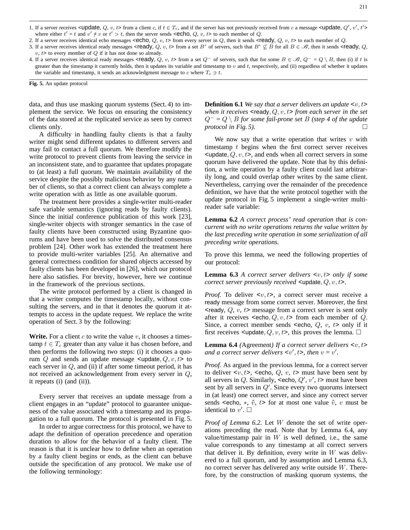- 1. If a server receives <**update**,  $Q$ ,  $v$ ,  $t$  from a client c, if  $t \in T_c$ , and if the server has not previously received from c a message <**update**,  $Q'$ ,  $v'$ ,  $t'$  > where either  $t' = t$  and  $v' \neq v$  or  $t' > t$ , then the server sends <echo, Q, v, t > to each member of Q.
- 2. If a server receives identical echo messages <**echo**,  $Q$ ,  $v$ ,  $t$  from every server in  $Q$ , then it sends <**ready**,  $Q$ ,  $v$ ,  $t$  to each member of  $Q$ .
- 3. If a server receives identical ready messages <**ready**, Q, v, t> from a set B<sup>+</sup> of servers, such that B<sup>+</sup>  $\not\subseteq$  B for all  $B \in \mathscr{B}$ , then it sends <**ready**, Q,  $v, t$  to every member of  $Q$  if it has not done so already.
- 4. If a server receives identical ready messages <ready,  $Q$ ,  $v$ , t> from a set  $Q^-$  of servers, such that for some  $B \in \mathcal{B}$ ,  $Q^- = Q \setminus B$ , then (i) if t is greater than the timestamp it currently holds, then it updates its variable and timestamp to  $v$  and  $t$ , respectively, and (ii) regardless of whether it updates the variable and timestamp, it sends an acknowledgment message to c where  $T_c \ni t$ .

**Fig. 5.** An update protocol

data, and thus use masking quorum systems (Sect. 4) to implement the service. We focus on ensuring the consistency of the data stored at the replicated service as seen by correct clients only.

A difficulty in handling faulty clients is that a faulty writer might send different updates to different servers and may fail to contact a full quorum. We therefore modify the write protocol to prevent clients from leaving the service in an inconsistent state, and to guarantee that updates propagate to (at least) a full quorum. We maintain availability of the service despite the possibly malicious behavior by any number of clients, so that a correct client can always complete a write operation with as little as one available quorum.

The treatment here provides a single-writer multi-reader safe variable semantics (ignoring reads by faulty clients). Since the initial conference publication of this work [23], single-writer objects with stronger semantics in the case of faulty clients have been constructed using Byzantine quorums and have been used to solve the distributed consensus problem [24]. Other work has extended the treatment here to provide multi-writer variables [25]. An alternative and general correctness condition for shared objects accessed by faulty clients has been developed in [26], which our protocol here also satisfies. For brevity, however, here we continue in the framework of the previous sections.

The write protocol performed by a client is changed in that a writer computes the timestamp locally, without consulting the servers, and in that it denotes the quorum it attempts to access in the update request. We replace the write operation of Sect. 3 by the following:

**Write.** For a client c to write the value  $v$ , it chooses a timestamp  $t \in T_c$  greater than any value it has chosen before, and then performs the following two steps: (i) it chooses a quorum  $Q$  and sends an update message  $\leq$ update,  $Q, v, t$  to each server in  $Q$ , and (ii) if after some timeout period, it has not received an acknowledgement from every server in Q, it repeats (i) (and (ii)).

Every server that receives an update message from a client engages in an "update" protocol to guarantee uniqueness of the value associated with a timestamp and its propagation to a full quorum. The protocol is presented in Fig. 5.

In order to argue correctness for this protocol, we have to adapt the definition of operation precedence and operation duration to allow for the behavior of a faulty client. The reason is that it is unclear how to define when an operation by a faulty client begins or ends, as the client can behave outside the specification of any protocol. We make use of the following terminology:

**Definition 6.1** *We say that a server* delivers *an update* <*v*, *t*> *when it receives*  $\leq$ **ready**,  $Q, v, t$  *from each server in the set* Q<sup>−</sup> = Q \ B *for some fail-prone set* B *(step 4 of the update protocol in Fig. 5).*

We now say that a write operation that writes  $v$  with timestamp  $t$  begins when the first correct server receives  $\alpha$  <update,  $Q, v, t$ , and ends when all correct servers in some quorum have delivered the update. Note that by this definition, a write operation by a faulty client could last arbitrarily long, and could overlap other writes by the same client. Nevertheless, carrying over the remainder of the precedence definition, we have that the write protocol together with the update protocol in Fig. 5 implement a single-writer multireader safe variable:

**Lemma 6.2** *A correct process' read operation that is concurrent with no write operations returns the value written by the last preceding write operation in some serialization of all preceding write operations.*

To prove this lemma, we need the following properties of our protocol:

**Lemma 6.3** *A correct server delivers*  $\langle v, t \rangle$  *only if some correct server previously received* <update, Q, v, t>*.*

*Proof.* To deliver  $\langle v, t \rangle$ , a correct server must receive a ready message from some correct server. Moreover, the first  $\alpha$  < ready,  $Q$ ,  $v$ ,  $t$  > message from a correct server is sent only after it receives  $\le$ echo,  $Q, v, t$  from each member of  $Q$ . Since, a correct member sends  $\leq$ echo, Q, v, t only if it first receives  $\langle$ update,  $Q, v, t \rangle$ , this proves the lemma.  $\Box$ 

**Lemma 6.4** *(Agreement) If a correct server delivers*  $\langle v, t \rangle$ and a correct server delivers  $\langle v', t \rangle$ , then  $v = v'.$ 

*Proof.* As argued in the previous lemma, for a correct server to deliver  $\langle v, t \rangle$ ,  $\langle \text{echo}, Q, v, t \rangle$  must have been sent by all servers in Q. Similarly,  $\leq$ echo,  $Q', v', t$  must have been sent by all servers in  $Q'$ . Since every two quorums intersect in (at least) one correct server, and since any correct server sends <echo,  $\ast$ ,  $\hat{v}$ ,  $t$  for at most one value  $\hat{v}$ , v must be identical to  $v'$ .  $\square$ 

*Proof of Lemma 6.2.* Let W denote the set of write operations preceding the read. Note that by Lemma 6.4, any value/timestamp pair in  $W$  is well defined, i.e., the same value corresponds to any timestamp at all correct servers that deliver it. By definition, every write in  $W$  was delivered to a full quorum, and by assumption and Lemma 6.3, no correct server has delivered any write outside W. Therefore, by the construction of masking quorum systems, the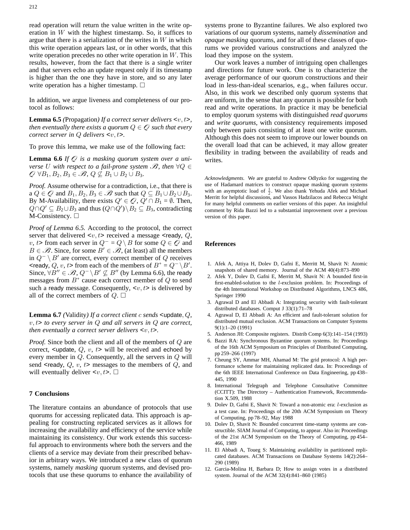read operation will return the value written in the write operation in  $W$  with the highest timestamp. So, it suffices to argue that there is a serialization of the writes in  $W$  in which this write operation appears last, or in other words, that this write operation precedes no other write operation in  $W$ . This results, however, from the fact that there is a single writer and that servers echo an update request only if its timestamp is higher than the one they have in store, and so any later write operation has a higher timestamp.  $\Box$ 

In addition, we argue liveness and completeness of our protocol as follows:

**Lemma 6.5** *(Propagation) If a correct server delivers*  $\langle v, t \rangle$ , *then eventually there exists a quorum*  $Q \in \mathcal{Q}$  *such that every correct server in*  $Q$  *delivers*  $\langle v, t \rangle$ *.* 

To prove this lemma, we make use of the following fact:

**Lemma 6.6** *If Q is a masking quorum system over a universe* U with respect to a fail-prone system  $\mathcal{B}$ , then  $\forall Q \in$  $\mathcal{Q}$   $\forall B_1, B_2, B_3 \in \mathcal{B}$ ,  $Q \not\subseteq B_1 \cup B_2 \cup B_3$ .

*Proof.* Assume otherwise for a contradiction, i.e., that there is a  $Q \in \mathcal{Q}$  and  $B_1, B_2, B_3 \in \mathcal{B}$  such that  $Q \subseteq B_1 \cup B_2 \cup B_3$ . By M-Availability, there exists  $Q' \in \mathcal{Q}, Q' \cap B_1 = \emptyset$ . Then,  $Q \cap Q' \subseteq B_2 \cup B_3$  and thus  $(Q \cap Q') \setminus B_2 \subseteq B_3$ , contradicting M-Consistency. □

*Proof of Lemma 6.5.* According to the protocol, the correct server that delivered  $\langle v, t \rangle$  received a message  $\langle \text{ready}, Q \rangle$ , *v*, *t* > from each server in  $Q = Q \ B$  for some  $Q \in \mathcal{Q}$  and  $B \in \mathcal{B}$ . Since, for some  $B' \in \mathcal{B}$ , (at least) all the members in  $Q^- \setminus B'$  are correct, every correct member of  $Q$  receives  $\le$ ready, Q, v, t from each of the members of  $B^+ = Q^- \setminus B'$ . Since,  $\forall B'' \in \mathcal{B}, Q^{-} \backslash B' \nsubseteq B''$  (by Lemma 6.6), the ready messages from  $B^+$  cause each correct member of  $Q$  to send such a ready message. Consequently,  $\langle v, t \rangle$  is delivered by all of the correct members of  $Q \square$ 

**Lemma 6.7** *(*Validity*) If a correct client* c *sends* <update, Q*,* v, t> *to every server in* Q *and all servers in* Q *are correct, then eventually a correct server delivers*  $\langle v, t \rangle$ .

*Proof.* Since both the client and all of the members of Q are correct,  $\alpha$ ,  $\alpha$ ,  $\alpha$ ,  $\beta$ ,  $\gamma$ ,  $\gamma$ ,  $\gamma$  will be received and echoed by every member in Q. Consequently, all the servers in Q will send <ready,  $Q$ ,  $v$ ,  $t$  > messages to the members of  $Q$ , and will eventually deliver  $\langle v, t \rangle$ .  $\Box$ 

## **7 Conclusions**

The literature contains an abundance of protocols that use quorums for accessing replicated data. This approach is appealing for constructing replicated services as it allows for increasing the availability and efficiency of the service while maintaining its consistency. Our work extends this successful approach to environments where both the servers and the clients of a service may deviate from their prescribed behavior in arbitrary ways. We introduced a new class of quorum systems, namely *masking* quorum systems, and devised protocols that use these quorums to enhance the availability of systems prone to Byzantine failures. We also explored two variations of our quorum systems, namely *dissemination* and *opaque masking* quorums, and for all of these classes of quorums we provided various constructions and analyzed the load they impose on the system.

Our work leaves a number of intriguing open challenges and directions for future work. One is to characterize the average performance of our quorum constructions and their load in less-than-ideal scenarios, e.g., when failures occur. Also, in this work we described only quorum systems that are uniform, in the sense that any quorum is possible for both read and write operations. In practice it may be beneficial to employ quorum systems with distinguished *read quorums* and *write quorums*, with consistency requirements imposed only between pairs consisting of at least one write quorum. Although this does not seem to improve our lower bounds on the overall load that can be achieved, it may allow greater flexibility in trading between the availability of reads and writes.

*Acknowledgments.* We are grateful to Andrew Odlyzko for suggesting the use of Hadamard matrices to construct opaque masking quorum systems with an asymptotic load of  $\frac{1}{2}$ . We also thank Yehuda Afek and Michael Merritt for helpful discussions, and Vassos Hadzilacos and Rebecca Wright for many helpful comments on earlier versions of this paper. An insightful comment by Rida Bazzi led to a substantial improvement over a previous version of this paper.

#### **References**

- 1. Afek A, Attiya H, Dolev D, Gafni E, Merritt M, Shavit N: Atomic snapshots of shared memory. Journal of the ACM 40(4):873–890
- 2. Afek Y, Dolev D, Gafni E, Merritt M, Shavit N: A bounded first-in first-enabled-solution to the l-exclusion problem. In: Proceedings of the 4th International Workshop on Distributed Algorithms, LNCS 486, Springer 1990
- 3. Agrawal D and El Abbadi A: Integrating security with fault-tolerant distributed databases. Comput J 33(1):71–78
- 4. Agrawal D, El Abbadi A: An efficient and fault-tolerant solution for distributed mutual exclusion. ACM Transactions on Computer Systems 9(1):1–20 (1991)
- 5. Anderson JH: Composite registers. Distrib Comp 6(3):141–154 (1993)
- 6. Bazzi RA: Synchronous Byzantine quorum systems. In: Proceedings of the 16th ACM Symposium on Principles of Distributed Computing, pp 259–266 (1997)
- 7. Cheung SY, Ammar MH, Ahamad M: The grid protocol: A high performance scheme for maintaining replicated data. In: Proceedings of the 6th IEEE International Conference on Data Engineering, pp 438– 445, 1990
- 8. International Telegraph and Telephone Consultative Committee (CCITT): The Directory – Authentication Framework, Recommendation X.509, 1988
- 9. Dolev D, Gafni E, Shavit N: Toward a non-atomic era: l-exclusion as a test case. In: Proceedings of the 20th ACM Symposium on Theory of Computing, pp 78–92, May 1988
- 10. Dolev D, Shavit N: Bounded concurrent time-stamp systems are constructible. SIAM Journal of Computing, to appear. Also in: Proceedings of the 21st ACM Symposium on the Theory of Computing, pp 454– 466, 1989
- 11. El Abbadi A, Toueg S: Maintaining availability in partitioned replicated databases. ACM Transactions on Database Systems 14(2):264– 290 (1989)
- 12. Garcia-Molina H, Barbara D; How to assign votes in a distributed system. Journal of the ACM 32(4):841–860 (1985)